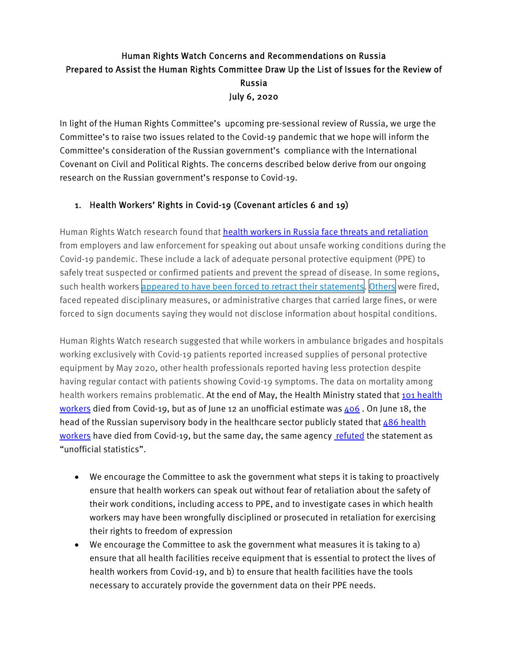## Human Rights Watch Concerns and Recommendations on Russia Prepared to Assist the Human Rights Committee Draw Up the List of Issues for the Review of Russia July 6, 2020

In light of the Human Rights Committee's upcoming pre-sessional review of Russia, we urge the Committee's to raise two issues related to the Covid-19 pandemic that we hope will inform the Committee's consideration of the Russian government's compliance with the International Covenant on Civil and Political Rights. The concerns described below derive from our ongoing research on the Russian government's response to Covid-19.

## 1. Health Workers' Rights in Covid-19 (Covenant articles 6 and 19)

Human Rights Watch research found that **health workers in Russia face threats and retaliation** from employers and law enforcement for speaking out about unsafe working conditions during the Covid-19 pandemic. These include a lack of adequate personal protective equipment (PPE) to safely treat suspected or confirmed patients and prevent the spread of disease. In some regions, such health workers appeared to have been forced to retract their statements. Others were fired, faced repeated disciplinary measures, or administrative charges that carried large fines, or were forced to sign documents saying they would not disclose information about hospital conditions.

Human Rights Watch research suggested that while workers in ambulance brigades and hospitals working exclusively with Covid-19 patients reported increased supplies of personal protective equipment by May 2020, other health professionals reported having less protection despite having regular contact with patients showing Covid-19 symptoms. The data on mortality among health workers remains problematic. At the end of May, the Health Ministry stated that 101 health workers died from Covid-19, but as of June 12 an unofficial estimate was  $406$ . On June 18, the head of the Russian supervisory body in the healthcare sector publicly stated that  $486$  health workers have died from Covid-19, but the same day, the same agency refuted the statement as "unofficial statistics".

- We encourage the Committee to ask the government what steps it is taking to proactively ensure that health workers can speak out without fear of retaliation about the safety of their work conditions, including access to PPE, and to investigate cases in which health workers may have been wrongfully disciplined or prosecuted in retaliation for exercising their rights to freedom of expression
- We encourage the Committee to ask the government what measures it is taking to a) ensure that all health facilities receive equipment that is essential to protect the lives of health workers from Covid-19, and b) to ensure that health facilities have the tools necessary to accurately provide the government data on their PPE needs.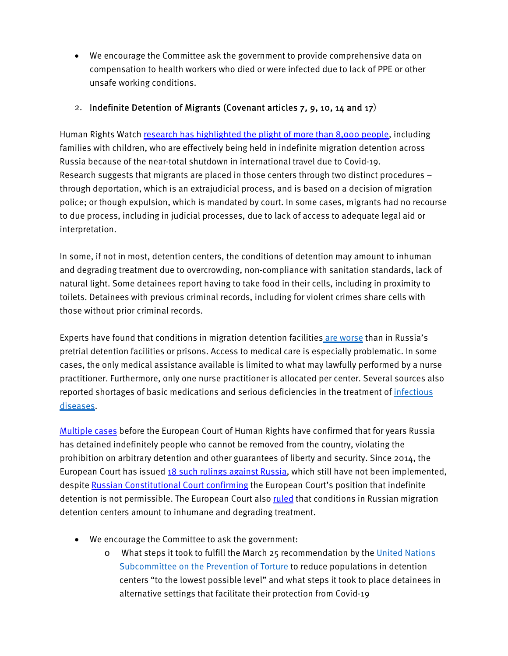We encourage the Committee ask the government to provide comprehensive data on compensation to health workers who died or were infected due to lack of PPE or other unsafe working conditions.

## 2. Indefinite Detention of Migrants (Covenant articles 7, 9, 10, 14 and 17)

Human Rights Watch research has highlighted the plight of more than 8,000 people, including families with children, who are effectively being held in indefinite migration detention across Russia because of the near-total shutdown in international travel due to Covid-19. Research suggests that migrants are placed in those centers through two distinct procedures – through deportation, which is an extrajudicial process, and is based on a decision of migration police; or though expulsion, which is mandated by court. In some cases, migrants had no recourse to due process, including in judicial processes, due to lack of access to adequate legal aid or interpretation.

In some, if not in most, detention centers, the conditions of detention may amount to inhuman and degrading treatment due to overcrowding, non-compliance with sanitation standards, lack of natural light. Some detainees report having to take food in their cells, including in proximity to toilets. Detainees with previous criminal records, including for violent crimes share cells with those without prior criminal records.

Experts have found that conditions in migration detention facilities are worse than in Russia's pretrial detention facilities or prisons. Access to medical care is especially problematic. In some cases, the only medical assistance available is limited to what may lawfully performed by a nurse practitioner. Furthermore, only one nurse practitioner is allocated per center. Several sources also reported shortages of basic medications and serious deficiencies in the treatment of *infectious* diseases.

Multiple cases before the European Court of Human Rights have confirmed that for years Russia has detained indefinitely people who cannot be removed from the country, violating the prohibition on arbitrary detention and other guarantees of liberty and security. Since 2014, the European Court has issued 18 such rulings against Russia, which still have not been implemented, despite Russian Constitutional Court confirming the European Court's position that indefinite detention is not permissible. The European Court also ruled that conditions in Russian migration detention centers amount to inhumane and degrading treatment.

- We encourage the Committee to ask the government:
	- o What steps it took to fulfill the March 25 recommendation by the United Nations Subcommittee on the Prevention of Torture to reduce populations in detention centers "to the lowest possible level" and what steps it took to place detainees in alternative settings that facilitate their protection from Covid-19